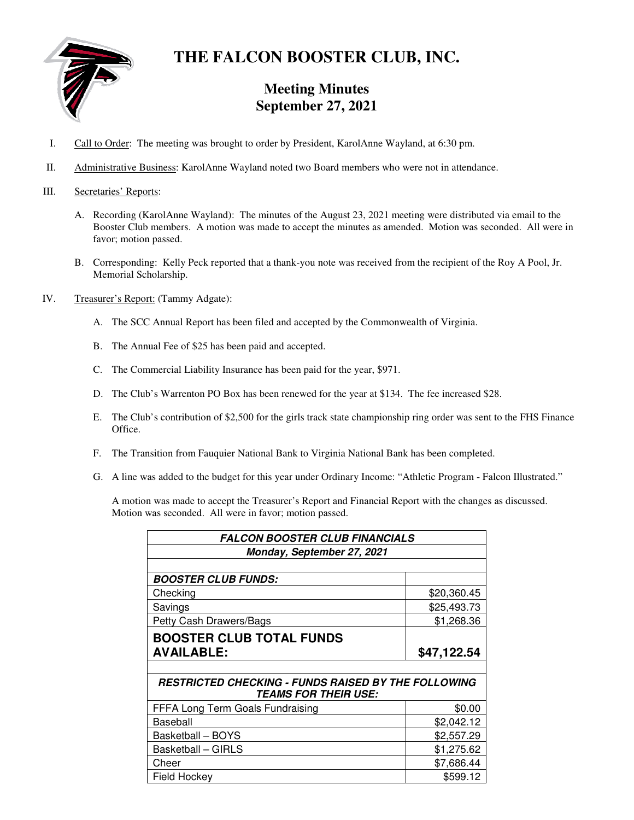

# **THE FALCON BOOSTER CLUB, INC.**

## **Meeting Minutes September 27, 2021**

- I. Call to Order: The meeting was brought to order by President, KarolAnne Wayland, at 6:30 pm.
- II. Administrative Business: KarolAnne Wayland noted two Board members who were not in attendance.
- III. Secretaries' Reports:
	- A. Recording (KarolAnne Wayland): The minutes of the August 23, 2021 meeting were distributed via email to the Booster Club members. A motion was made to accept the minutes as amended. Motion was seconded. All were in favor; motion passed.
	- B. Corresponding: Kelly Peck reported that a thank-you note was received from the recipient of the Roy A Pool, Jr. Memorial Scholarship.
- IV. Treasurer's Report: (Tammy Adgate):
	- A. The SCC Annual Report has been filed and accepted by the Commonwealth of Virginia.
	- B. The Annual Fee of \$25 has been paid and accepted.
	- C. The Commercial Liability Insurance has been paid for the year, \$971.
	- D. The Club's Warrenton PO Box has been renewed for the year at \$134. The fee increased \$28.
	- E. The Club's contribution of \$2,500 for the girls track state championship ring order was sent to the FHS Finance Office.
	- F. The Transition from Fauquier National Bank to Virginia National Bank has been completed.
	- G. A line was added to the budget for this year under Ordinary Income: "Athletic Program Falcon Illustrated."

A motion was made to accept the Treasurer's Report and Financial Report with the changes as discussed. Motion was seconded. All were in favor; motion passed.

| <b>FALCON BOOSTER CLUB FINANCIALS</b>                      |             |  |
|------------------------------------------------------------|-------------|--|
| Monday, September 27, 2021                                 |             |  |
|                                                            |             |  |
| <b>BOOSTER CLUB FUNDS:</b>                                 |             |  |
| Checking                                                   | \$20,360.45 |  |
| Savings                                                    | \$25,493.73 |  |
| Petty Cash Drawers/Bags                                    | \$1,268.36  |  |
| <b>BOOSTER CLUB TOTAL FUNDS</b>                            |             |  |
| <b>AVAILABLE:</b>                                          | \$47,122.54 |  |
|                                                            |             |  |
| <b>RESTRICTED CHECKING - FUNDS RAISED BY THE FOLLOWING</b> |             |  |
| <b>TEAMS FOR THEIR USE:</b>                                |             |  |
| FFFA Long Term Goals Fundraising                           | \$0.00      |  |
| Baseball                                                   | \$2,042.12  |  |
| Basketball - BOYS                                          | \$2,557.29  |  |
| <b>Basketball - GIRLS</b>                                  | \$1,275.62  |  |
| Cheer                                                      | \$7,686.44  |  |
| <b>Field Hockey</b>                                        | \$599.12    |  |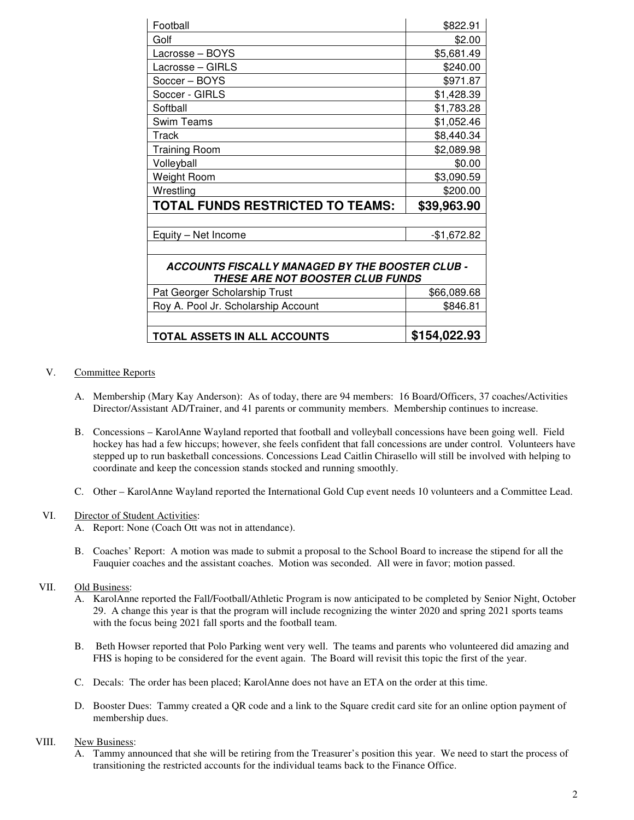| Football                                                                                   | \$822.91     |  |
|--------------------------------------------------------------------------------------------|--------------|--|
| Golf                                                                                       | \$2.00       |  |
| Lacrosse - BOYS                                                                            | \$5,681.49   |  |
| Lacrosse - GIRLS                                                                           | \$240.00     |  |
| Soccer - BOYS                                                                              | \$971.87     |  |
| Soccer - GIRLS                                                                             | \$1,428.39   |  |
| Softball                                                                                   | \$1,783.28   |  |
| <b>Swim Teams</b>                                                                          | \$1,052.46   |  |
| Track                                                                                      | \$8,440.34   |  |
| Training Room                                                                              | \$2,089.98   |  |
| Volleyball                                                                                 | \$0.00       |  |
| Weight Room                                                                                | \$3,090.59   |  |
| Wrestling                                                                                  | \$200.00     |  |
| TOTAL FUNDS RESTRICTED TO TEAMS:                                                           | \$39,963.90  |  |
|                                                                                            |              |  |
| Equity - Net Income                                                                        | $-$1,672.82$ |  |
|                                                                                            |              |  |
| ACCOUNTS FISCALLY MANAGED BY THE BOOSTER CLUB -<br><b>THESE ARE NOT BOOSTER CLUB FUNDS</b> |              |  |
| Pat Georger Scholarship Trust                                                              | \$66,089.68  |  |
| Roy A. Pool Jr. Scholarship Account                                                        | \$846.81     |  |
|                                                                                            |              |  |
| TOTAL ASSETS IN ALL ACCOUNTS                                                               | \$154,022.93 |  |

#### V. Committee Reports

- A. Membership (Mary Kay Anderson): As of today, there are 94 members: 16 Board/Officers, 37 coaches/Activities Director/Assistant AD/Trainer, and 41 parents or community members. Membership continues to increase.
- B. Concessions KarolAnne Wayland reported that football and volleyball concessions have been going well. Field hockey has had a few hiccups; however, she feels confident that fall concessions are under control. Volunteers have stepped up to run basketball concessions. Concessions Lead Caitlin Chirasello will still be involved with helping to coordinate and keep the concession stands stocked and running smoothly.
- C. Other KarolAnne Wayland reported the International Gold Cup event needs 10 volunteers and a Committee Lead.

#### VI. Director of Student Activities:

- A. Report: None (Coach Ott was not in attendance).
- B. Coaches' Report: A motion was made to submit a proposal to the School Board to increase the stipend for all the Fauquier coaches and the assistant coaches. Motion was seconded. All were in favor; motion passed.

### VII. Old Business:

- A. KarolAnne reported the Fall/Football/Athletic Program is now anticipated to be completed by Senior Night, October 29. A change this year is that the program will include recognizing the winter 2020 and spring 2021 sports teams with the focus being 2021 fall sports and the football team.
- B. Beth Howser reported that Polo Parking went very well. The teams and parents who volunteered did amazing and FHS is hoping to be considered for the event again. The Board will revisit this topic the first of the year.
- C. Decals: The order has been placed; KarolAnne does not have an ETA on the order at this time.
- D. Booster Dues: Tammy created a QR code and a link to the Square credit card site for an online option payment of membership dues.

#### VIII. New Business:

A. Tammy announced that she will be retiring from the Treasurer's position this year. We need to start the process of transitioning the restricted accounts for the individual teams back to the Finance Office.